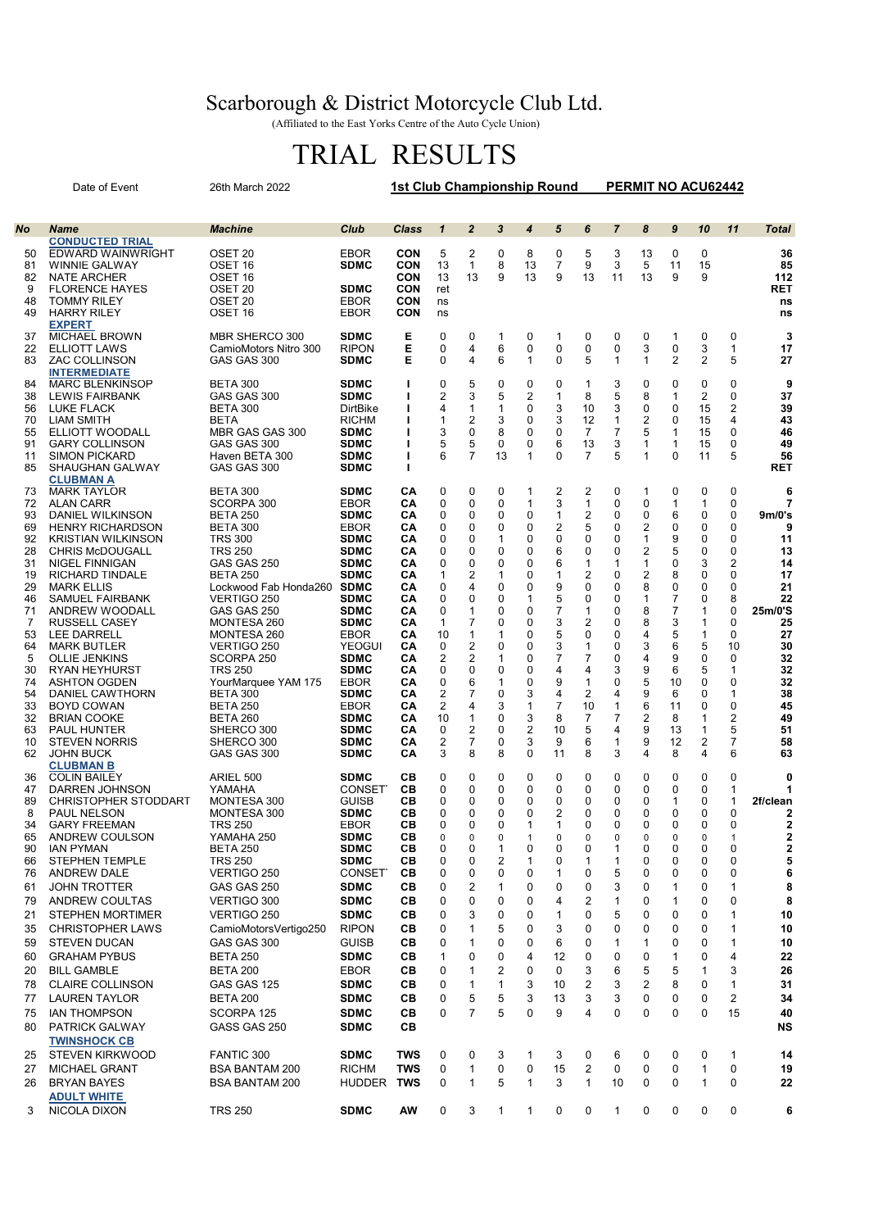## Scarborough & District Motorcycle Club Ltd.

(Affiliated to the East Yorks Centre of the Auto Cycle Union)

## TRIAL RESULTS

|          | Date of Event                                        | 26th March 2022                      |                               | <b>1st Club Championship Round</b> |                    |                         |              |                     | PERMIT NO ACU62442  |                     |                   |                         |                   |                                |                     |                     |
|----------|------------------------------------------------------|--------------------------------------|-------------------------------|------------------------------------|--------------------|-------------------------|--------------|---------------------|---------------------|---------------------|-------------------|-------------------------|-------------------|--------------------------------|---------------------|---------------------|
|          |                                                      |                                      |                               |                                    |                    |                         |              |                     |                     |                     |                   |                         |                   |                                |                     |                     |
| No       | <b>Name</b>                                          | <b>Machine</b>                       | Club                          | <b>Class</b>                       | $\mathbf{1}$       | $\overline{2}$          | 3            | 4                   | 5                   | 6                   | $\overline{7}$    | 8                       | 9                 | 10                             | 11                  | Total               |
| 50       | <b>CONDUCTED TRIAL</b><br><b>EDWARD WAINWRIGHT</b>   | OSET <sub>20</sub>                   | <b>EBOR</b>                   | <b>CON</b>                         | 5                  | 2                       | 0            | 8                   | 0                   | 5                   | 3                 | 13                      | 0                 | 0                              |                     | 36                  |
| 81       | <b>WINNIE GALWAY</b>                                 | OSET 16                              | <b>SDMC</b>                   | <b>CON</b>                         | 13                 | $\mathbf{1}$            | 8            | 13                  | 7                   | 9                   | 3                 | 5                       | 11                | 15                             |                     | 85                  |
| 82       | <b>NATE ARCHER</b>                                   | OSET 16                              |                               | <b>CON</b>                         | 13                 | 13                      | 9            | 13                  | 9                   | 13                  | 11                | 13                      | 9                 | 9                              |                     | 112                 |
| 9<br>48  | <b>FLORENCE HAYES</b><br><b>TOMMY RILEY</b>          | OSET <sub>20</sub><br>OSET 20        | <b>SDMC</b><br>EBOR           | <b>CON</b><br>CON                  | ret<br>ns          |                         |              |                     |                     |                     |                   |                         |                   |                                |                     | RET<br>ns           |
| 49       | <b>HARRY RILEY</b>                                   | OSET <sub>16</sub>                   | <b>EBOR</b>                   | <b>CON</b>                         | ns                 |                         |              |                     |                     |                     |                   |                         |                   |                                |                     | ns                  |
|          | <b>EXPERT</b>                                        |                                      |                               |                                    |                    |                         |              |                     |                     |                     |                   |                         |                   |                                |                     |                     |
| 37       | <b>MICHAEL BROWN</b>                                 | MBR SHERCO 300                       | <b>SDMC</b>                   | Е                                  | 0                  | 0                       | 1            | 0                   | 1                   | 0                   | 0                 | 0                       | 1                 | 0                              | 0                   | 3                   |
| 22<br>83 | <b>ELLIOTT LAWS</b><br><b>ZAC COLLINSON</b>          | CamioMotors Nitro 300<br>GAS GAS 300 | <b>RIPON</b><br><b>SDMC</b>   | E<br>Е                             | 0<br>0             | 4<br>4                  | 6<br>6       | 0<br>1              | 0<br>0              | 0<br>5              | 0<br>1            | 3<br>1                  | 0<br>2            | 3<br>2                         | 1<br>5              | 17<br>27            |
|          | <b>INTERMEDIATE</b>                                  |                                      |                               |                                    |                    |                         |              |                     |                     |                     |                   |                         |                   |                                |                     |                     |
| 84       | <b>MARC BLENKINSOP</b>                               | <b>BETA 300</b>                      | <b>SDMC</b>                   |                                    | 0                  | 5                       | 0            | 0                   | 0                   | 1                   | 3                 | 0                       | 0                 | 0                              | 0                   | 9                   |
| 38<br>56 | <b>LEWIS FAIRBANK</b><br><b>LUKE FLACK</b>           | GAS GAS 300                          | <b>SDMC</b>                   | H                                  | 2<br>4             | 3                       | 5            | $\overline{2}$<br>0 | 1<br>3              | 8                   | 5                 | 8                       | 1<br>0            | 2                              | 0<br>2              | 37                  |
| 70       | <b>LIAM SMITH</b>                                    | BETA 300<br><b>BETA</b>              | DirtBike<br><b>RICHM</b>      |                                    | 1                  | 1<br>2                  | 1<br>3       | 0                   | 3                   | 10<br>12            | 3<br>$\mathbf{1}$ | 0<br>2                  | 0                 | 15<br>15                       | 4                   | 39<br>43            |
| 55       | ELLIOTT WOODALL                                      | MBR GAS GAS 300                      | <b>SDMC</b>                   |                                    | 3                  | 0                       | 8            | 0                   | 0                   | 7                   | 7                 | 5                       | 1                 | 15                             | 0                   | 46                  |
| 91       | <b>GARY COLLINSON</b>                                | GAS GAS 300                          | <b>SDMC</b>                   |                                    | 5                  | 5                       | 0            | 0                   | 6                   | 13                  | 3                 | 1                       | 1                 | 15                             | 0                   | 49                  |
| 11<br>85 | <b>SIMON PICKARD</b><br><b>SHAUGHAN GALWAY</b>       | Haven BETA 300<br>GAS GAS 300        | <b>SDMC</b><br><b>SDMC</b>    | H                                  | 6                  | 7                       | 13           | 1                   | 0                   | $\overline{7}$      | 5                 | 1                       | $\Omega$          | 11                             | 5                   | 56<br>RET           |
|          | <b>CLUBMAN A</b>                                     |                                      |                               |                                    |                    |                         |              |                     |                     |                     |                   |                         |                   |                                |                     |                     |
| 73       | <b>MARK TAYLOR</b>                                   | <b>BETA 300</b>                      | <b>SDMC</b>                   | CА                                 | 0                  | 0                       | 0            | 1                   | 2                   | 2                   | 0                 | 1                       | 0                 | 0                              | 0                   | 6                   |
| 72       | <b>ALAN CARR</b>                                     | SCORPA 300                           | EBOR                          | СA                                 | 0                  | 0                       | 0            | 1                   | 3                   | 1                   | 0                 | 0                       | 1                 | $\mathbf{1}$                   | 0                   |                     |
| 93<br>69 | <b>DANIEL WILKINSON</b><br><b>HENRY RICHARDSON</b>   | <b>BETA 250</b><br><b>BETA 300</b>   | <b>SDMC</b><br><b>EBOR</b>    | СA<br>CА                           | 0<br>0             | 0<br>0                  | 0<br>0       | 0<br>0              | 1<br>$\overline{2}$ | 2<br>5              | 0<br>0            | 0<br>2                  | 6<br>0            | 0<br>0                         | 0<br>0              | 9m/0's<br>9         |
| 92       | <b>KRISTIAN WILKINSON</b>                            | <b>TRS 300</b>                       | <b>SDMC</b>                   | CА                                 | 0                  | 0                       | 1            | $\Omega$            | 0                   | 0                   | 0                 | 1                       | 9                 | 0                              | 0                   | 11                  |
| 28       | <b>CHRIS McDOUGALL</b>                               | <b>TRS 250</b>                       | <b>SDMC</b>                   | CА                                 | 0                  | 0                       | 0            | 0                   | 6                   | 0                   | 0                 | 2                       | 5                 | 0                              | 0                   | 13                  |
| 31<br>19 | <b>NIGEL FINNIGAN</b><br>RICHARD TINDALE             | GAS GAS 250<br><b>BETA 250</b>       | <b>SDMC</b><br><b>SDMC</b>    | CА<br>CА                           | 0<br>$\mathbf{1}$  | 0<br>2                  | 0<br>1       | 0<br>0              | 6<br>1              | 1<br>2              | 1<br>0            | 1<br>2                  | 0<br>8            | 3<br>0                         | $\overline{2}$<br>0 | 14<br>17            |
| 29       | <b>MARK ELLIS</b>                                    | Lockwood Fab Honda260 SDMC           |                               | CА                                 | 0                  | 4                       | 0            | 0                   | 9                   | 0                   | 0                 | 8                       | 0                 | 0                              | 0                   | 21                  |
| 46       | <b>SAMUEL FAIRBANK</b>                               | VERTIGO 250                          | <b>SDMC</b>                   | CА                                 | 0                  | 0                       | 0            | 1                   | 5                   | 0                   | 0                 | $\mathbf{1}$            | 7                 | 0                              | 8                   | 22                  |
| 71       | ANDREW WOODALL                                       | GAS GAS 250                          | <b>SDMC</b>                   | CА                                 | 0                  | 1                       | 0            | 0                   | 7                   | 1                   | 0                 | 8                       | 7                 | 1                              | 0                   | 25m/0'S             |
| 7<br>53  | RUSSELL CASEY<br><b>LEE DARRELL</b>                  | MONTESA 260<br>MONTESA 260           | <b>SDMC</b><br><b>EBOR</b>    | CА<br>СA                           | $\mathbf{1}$<br>10 | $\overline{7}$<br>1     | 0<br>1       | 0<br>0              | 3<br>5              | $\overline{2}$<br>0 | 0<br>0            | 8<br>4                  | 3<br>5            | 1<br>$\mathbf{1}$              | 0<br>0              | 25<br>27            |
| 64       | <b>MARK BUTLER</b>                                   | VERTIGO 250                          | YEOGUI                        | CА                                 | 0                  | 2                       | 0            | 0                   | 3                   | 1                   | 0                 | 3                       | 6                 | 5                              | 10                  | 30                  |
| 5        | <b>OLLIE JENKINS</b>                                 | SCORPA 250                           | <b>SDMC</b>                   | CА                                 | 2                  | 2                       | 1            | 0                   | 7                   | 7                   | 0                 | 4                       | 9                 | 0                              | 0                   | 32                  |
| 30       | <b>RYAN HEYHURST</b>                                 | <b>TRS 250</b>                       | <b>SDMC</b>                   | СA                                 | 0                  | 0                       | 0            | 0                   | 4                   | 4                   | 3                 | 9                       | 6                 | 5                              | 1                   | 32                  |
| 74<br>54 | <b>ASHTON OGDEN</b><br>DANIEL CAWTHORN               | YourMarquee YAM 175<br>BETA 300      | <b>EBOR</b><br><b>SDMC</b>    | СA<br>CА                           | 0<br>2             | 6<br>7                  | 1<br>0       | 0<br>3              | 9<br>4              | 1<br>2              | 0<br>4            | 5<br>9                  | 10<br>6           | 0<br>0                         | 0<br>1              | 32<br>38            |
| 33       | <b>BOYD COWAN</b>                                    | <b>BETA 250</b>                      | EBOR                          | CА                                 | $\overline{2}$     | 4                       | 3            | 1                   | $\overline{7}$      | 10                  | 1                 | 6                       | 11                | 0                              | 0                   | 45                  |
| 32       | <b>BRIAN COOKE</b>                                   | <b>BETA 260</b>                      | <b>SDMC</b>                   | CА                                 | 10                 | 1                       | 0            | 3                   | 8                   | 7                   | 7                 | $\overline{\mathbf{c}}$ | 8                 | 1                              | 2                   | 49                  |
| 63<br>10 | <b>PAUL HUNTER</b><br><b>STEVEN NORRIS</b>           | SHERCO 300<br>SHERCO 300             | <b>SDMC</b><br><b>SDMC</b>    | CА<br>CА                           | 0<br>2             | 2<br>7                  | 0<br>0       | $\overline{2}$<br>3 | 10<br>9             | 5<br>6              | 4<br>1            | 9<br>9                  | 13<br>12          | $\mathbf{1}$<br>$\overline{2}$ | 5<br>$\overline{7}$ | 51<br>58            |
| 62       | <b>JOHN BUCK</b>                                     | GAS GAS 300                          | <b>SDMC</b>                   | CА                                 | 3                  | 8                       | 8            | $\mathbf 0$         | 11                  | 8                   | 3                 | 4                       | 8                 | 4                              | 6                   | 63                  |
|          | <b>CLUBMAN B</b>                                     |                                      |                               |                                    |                    |                         |              |                     |                     |                     |                   |                         |                   |                                |                     |                     |
| 36       | <b>COLIN BAILEY</b>                                  | ARIEL 500                            | <b>SDMC</b>                   | CВ                                 | 0                  | 0                       | 0            | 0                   | 0                   | 0                   | 0                 | 0                       | 0                 | 0                              | 0                   | 0                   |
| 47<br>89 | <b>DARREN JOHNSON</b><br><b>CHRISTOPHER STODDART</b> | YAMAHA<br>MONTESA 300                | <b>CONSET</b><br><b>GUISB</b> | CВ<br>CВ                           | 0<br>0             | 0<br>0                  | 0<br>0       | 0<br>0              | 0<br>0              | 0<br>0              | 0<br>0            | 0<br>0                  | 0<br>1            | 0<br>0                         | 1<br>1              | 1<br>2f/clean       |
| 8        | PAUL NELSON                                          | MONTESA 300                          | <b>SDMC</b>                   | CВ                                 | 0                  | 0                       | 0            | 0                   | $\overline{2}$      | 0                   | 0                 | 0                       | 0                 | 0                              | 0                   | 2                   |
| 34       | <b>GARY FREEMAN</b>                                  | <b>TRS 250</b>                       | EBOR                          | CВ                                 | 0                  | 0                       | $\mathbf{0}$ | 1                   | 1                   | 0                   | 0                 | 0                       | 0                 | $\Omega$                       | 0                   | $\mathbf{2}$        |
| 65<br>90 | ANDREW COULSON<br><b>IAN PYMAN</b>                   | YAMAHA 250<br><b>BETA 250</b>        | <b>SDMC</b><br><b>SDMC</b>    | CВ<br>CВ                           | 0<br>0             | 0<br>0                  | 0<br>1       | $\mathbf{1}$<br>0   | 0<br>0              | 0<br>0              | 0<br>$\mathbf{1}$ | 0<br>0                  | 0<br>0            | 0<br>0                         | $\mathbf{1}$<br>0   | 2<br>$\overline{2}$ |
| 66       | <b>STEPHEN TEMPLE</b>                                | TRS 250                              | <b>SDMC</b>                   | CВ                                 | 0                  | 0                       | 2            | 1                   | 0                   | 1                   | 1                 | 0                       | 0                 | 0                              | 0                   | 5                   |
| 76       | <b>ANDREW DALE</b>                                   | VERTIGO 250                          | CONSET <sup>®</sup>           | CВ                                 | 0                  | 0                       | 0            | 0                   | 1                   | 0                   | 5                 | 0                       | 0                 | $\mathbf 0$                    | 0                   | 6                   |
| 61       | <b>JOHN TROTTER</b>                                  | GAS GAS 250                          | <b>SDMC</b>                   | CВ                                 | 0                  | $\overline{\mathbf{c}}$ | $\mathbf{1}$ | 0                   | 0                   | 0                   | 3                 | 0                       | $\mathbf{1}$      | 0                              | $\mathbf{1}$        | 8                   |
| 79       | ANDREW COULTAS                                       | VERTIGO 300                          | <b>SDMC</b>                   | CВ                                 | 0                  | 0                       | 0            | 0                   | 4                   | 2                   | 1                 | 0                       | 1                 | $\mathbf 0$                    | 0                   | 8                   |
| 21       | <b>STEPHEN MORTIMER</b>                              | VERTIGO 250                          | <b>SDMC</b>                   | CВ                                 | 0                  | 3                       | 0            | 0                   | 1                   | 0                   | 5                 | 0                       | 0                 | 0                              | 1                   | 10                  |
| 35       | <b>CHRISTOPHER LAWS</b>                              | CamioMotorsVertigo250                | <b>RIPON</b>                  | CВ                                 | 0                  | 1                       | 5            | 0                   | 3                   | 0                   | 0                 | 0                       | 0                 | $\mathbf 0$                    | $\mathbf{1}$        | 10                  |
| 59<br>60 | <b>STEVEN DUCAN</b><br><b>GRAHAM PYBUS</b>           | GAS GAS 300<br><b>BETA 250</b>       | <b>GUISB</b><br><b>SDMC</b>   | CВ<br>CВ                           | 0<br>$\mathbf{1}$  | 1<br>0                  | 0<br>0       | 0<br>4              | 6<br>12             | 0<br>0              | 1<br>0            | 1<br>0                  | 0<br>$\mathbf{1}$ | $\mathbf 0$<br>0               | 1<br>4              | 10<br>22            |
| 20       | <b>BILL GAMBLE</b>                                   | BETA 200                             | <b>EBOR</b>                   | CВ                                 | 0                  | 1                       | 2            | 0                   | 0                   | 3                   | 6                 | 5                       | 5                 | $\mathbf{1}$                   | 3                   | 26                  |
| 78       | <b>CLAIRE COLLINSON</b>                              | GAS GAS 125                          | <b>SDMC</b>                   | CВ                                 | 0                  | 1                       | 1            | 3                   | 10                  | $\overline{2}$      | 3                 | 2                       | 8                 | 0                              | 1                   | 31                  |
| 77       | <b>LAUREN TAYLOR</b>                                 | <b>BETA 200</b>                      | <b>SDMC</b>                   | CВ                                 | 0                  | 5                       | 5            | 3                   | 13                  | 3                   | 3                 | 0                       | 0                 | 0                              | $\overline{2}$      | 34                  |
| 75       | <b>IAN THOMPSON</b>                                  | SCORPA 125                           | <b>SDMC</b>                   | CВ                                 | 0                  | 7                       | 5            | $\Omega$            | 9                   | 4                   | 0                 | 0                       | 0                 | $\mathbf 0$                    | 15                  | 40                  |
| 80       | PATRICK GALWAY                                       | GASS GAS 250                         | <b>SDMC</b>                   | CВ                                 |                    |                         |              |                     |                     |                     |                   |                         |                   |                                |                     | <b>NS</b>           |
|          | <b>TWINSHOCK CB</b>                                  |                                      |                               |                                    |                    |                         |              |                     |                     |                     |                   |                         |                   |                                |                     |                     |
| 25       | <b>STEVEN KIRKWOOD</b>                               | FANTIC 300                           | <b>SDMC</b>                   | TWS                                | 0                  | 0                       | 3            | 1                   | 3                   | 0                   | 6                 | 0                       | 0                 | 0                              | 1                   | 14                  |
| 27       | <b>MICHAEL GRANT</b>                                 | <b>BSA BANTAM 200</b>                | <b>RICHM</b>                  | TWS                                | 0                  | 1                       | 0            | 0                   | 15                  | 2                   | 0                 | 0                       | 0                 | $\mathbf{1}$                   | 0                   | 19                  |
| 26       | <b>BRYAN BAYES</b>                                   | <b>BSA BANTAM 200</b>                | HUDDER                        | <b>TWS</b>                         | 0                  | 1                       | 5            | $\mathbf{1}$        | 3                   | $\mathbf{1}$        | 10                | 0                       | 0                 | 1                              | 0                   | 22                  |
|          | <b>ADULT WHITE</b>                                   |                                      |                               |                                    |                    |                         |              |                     |                     |                     |                   |                         |                   |                                |                     |                     |
| 3        | NICOLA DIXON                                         | <b>TRS 250</b>                       | <b>SDMC</b>                   | AW                                 | 0                  | 3                       | 1            | 1                   | 0                   | 0                   | 1                 | 0                       | 0                 | 0                              | 0                   | 6                   |